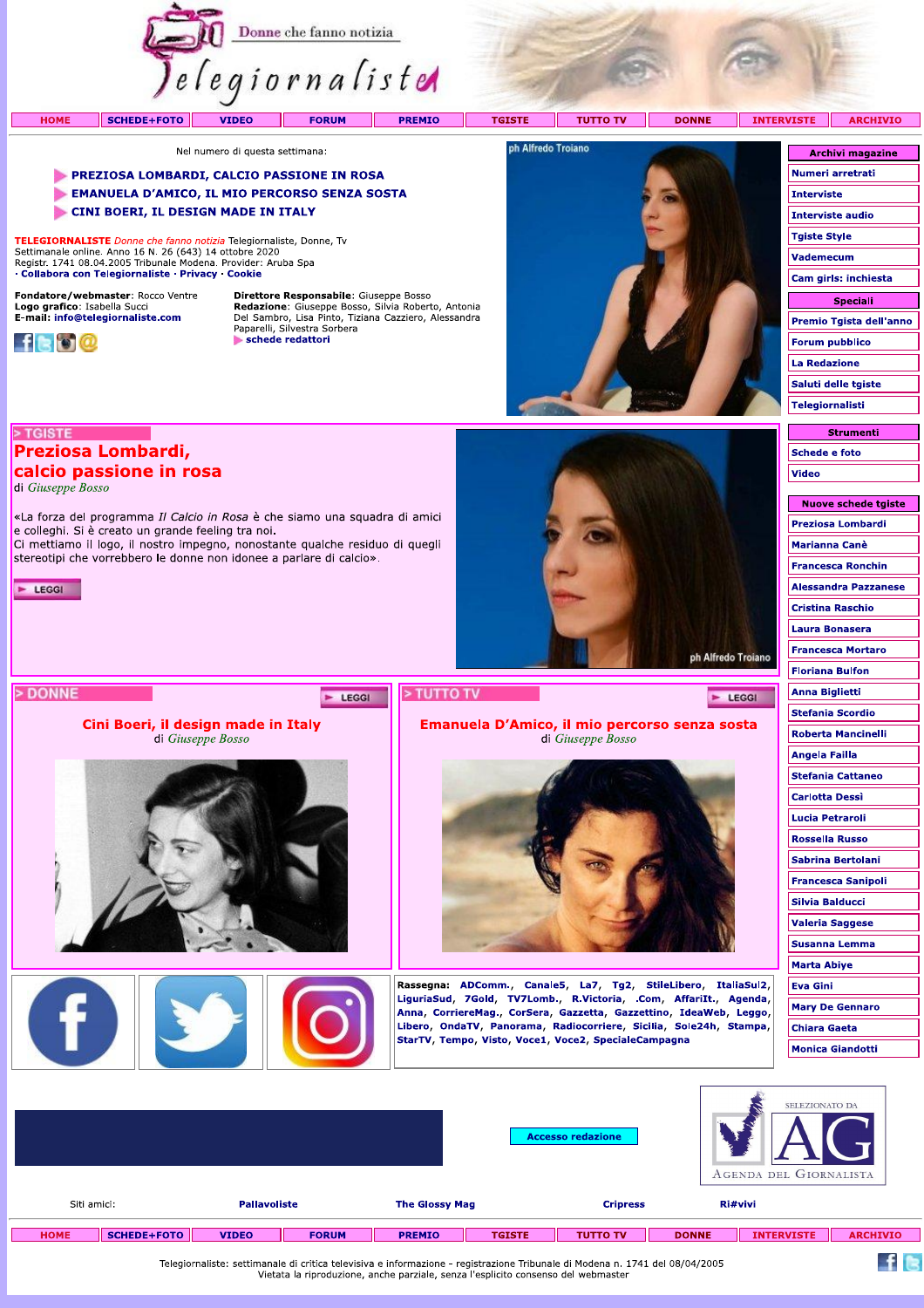





Rassegna: ADComm., Canale5, La7, Tg2, StileLibero, ItaliaSul2, LiguriaSud, 7Gold, TV7Lomb., R.Victoria, .Com, AffariIt., Agenda, Anna, CorriereMag., CorSera, Gazzetta, Gazzettino, IdeaWeb, Leggo, Libero, OndaTV, Panorama, Radiocorriere, Sicilia, Sole24h, Stampa, StarTV, Tempo, Visto, Voce1, Voce2, SpecialeCampagna

> **Accesso redazione** AGENDA DEL GIORNALISTA

ph Alfredo Troiano

E LEGGI

**Floriana Bulfon** 

**Anna Biglietti** 

**Angela Failla Stefania Cattaneo Carlotta Dessi Lucia Petraroli Rossella Russo** Sabrina Bertolani **Francesca Sanipoli Silvia Balducci Valeria Saggese** Susanna Lemma **Marta Abive** 

**Eva Gini** 

**Mary De Gennaro** 

**Monica Giandotti** 

**Chiara Gaeta** 

**ELEZIONATO D** 

**Stefania Scordio** 

**Roberta Mancinelli** 

|               | Ri#vivi           |              | <b>Cripress</b>                                                                                                                                                                                                                |               | <b>Pallavoliste</b><br><b>The Glossy Mag</b> |              | Siti amici:  |                    |            |
|---------------|-------------------|--------------|--------------------------------------------------------------------------------------------------------------------------------------------------------------------------------------------------------------------------------|---------------|----------------------------------------------|--------------|--------------|--------------------|------------|
| <b>ARCHIV</b> | <b>INTERVISTE</b> | <b>DONNE</b> | <b>TUTTO TV</b>                                                                                                                                                                                                                | <b>TGISTE</b> | <b>PREMIO</b>                                | <b>FORUM</b> | <b>VIDEO</b> | <b>SCHEDE+FOTO</b> | <b>OME</b> |
|               |                   |              | which are also a property and the second control with the second construction of the second control of the second control of the second control of the second control of the second control of the second control of the secon |               |                                              |              |              |                    |            |

Telegiornaliste: settimanale di critica televisiva e informazione - registrazione Tribunale di Modena n. 1741 del 08/04/2005<br>Vietata la riproduzione, anche parziale, senza l'esplicito consenso del webmaster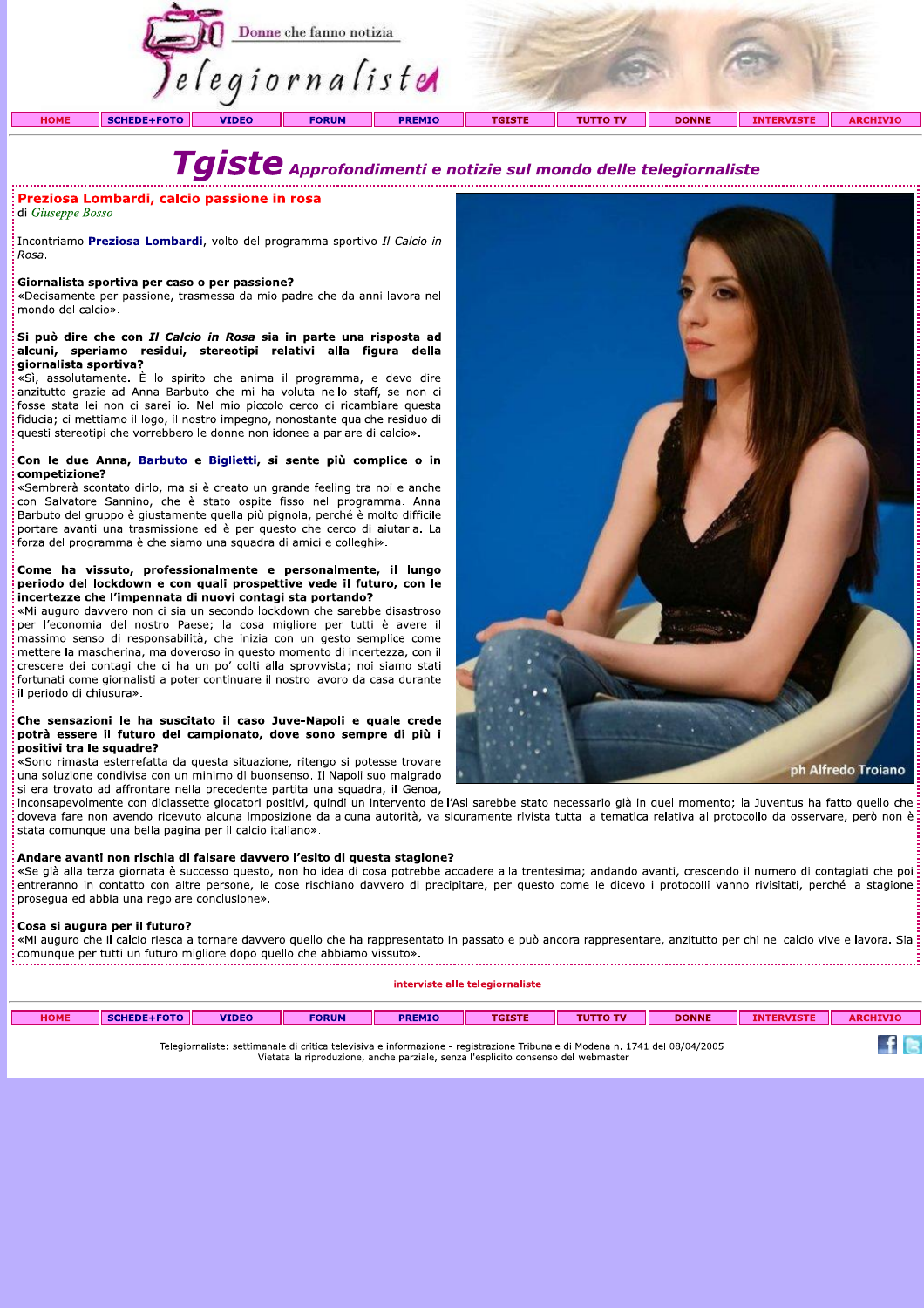|             |                    |              | Donne che fanno notizia<br><i>lelegiornaliste</i> |               |               |                 |              |                   |                 |  |
|-------------|--------------------|--------------|---------------------------------------------------|---------------|---------------|-----------------|--------------|-------------------|-----------------|--|
| <b>HOME</b> | <b>SCHEDE+FOTO</b> | <b>VIDEO</b> | <b>FORUM</b>                                      | <b>PREMIO</b> | <b>TGISTE</b> | <b>TUTTO TV</b> | <b>DONNE</b> | <b>INTERVISTE</b> | <b>ARCHIVIO</b> |  |

# Tgiste Approfondimenti e notizie sul mondo delle telegiornaliste

### Preziosa Lombardi, calcio passione in rosa

di Giuseppe Bosso

Incontriamo **Preziosa Lombardi**, volto del programma sportivo *Il Calcio in* Rosa.

### Giornalista sportiva per caso o per passione?

«Decisamente per passione, trasmessa da mio padre che da anni lavora nel mondo del calcio».

### .<br>Si può dire che con Il Calcio in Rosa sia in parte una risposta ad alcuni, speriamo residui, stereotipi relativi alla figura della giornalista sportiva?

«Sì, assolutamente. È lo spirito che anima il programma, e devo dire anzitutto grazie ad Anna Barbuto che mi ha voluta nello staff, se non ci fosse stata lei non ci sarei io. Nel mio piccolo cerco di ricambiare questa fiducia; ci mettiamo il logo, il nostro impegno, nonostante qualche residuo di questi stereotipi che vorrebbero le donne non idonee a parlare di calcio».

### Con le due Anna, Barbuto e Biglietti, si sente più complice o in competizione?

«Sembrerà scontato dirlo, ma si è creato un grande feeling tra noi e anche con Salvatore Sannino, che è stato ospite fisso nel programma. Anna Barbuto del gruppo è giustamente quella più pignola, perché è molto difficile portare avanti una trasmissione ed è per questo che cerco di aiutarla. La forza del programma è che siamo una squadra di amici e colleghi».

### Come ha vissuto, professionalmente e personalmente, il lungo periodo del lockdown e con quali prospettive vede il futuro, con le incertezze che l'impennata di nuovi contagi sta portando?

«Mi auguro davvero non ci sia un secondo lockdown che sarebbe disastroso per l'economia del nostro Paese; la cosa migliore per tutti è avere il massimo senso di responsabilità, che inizia con un gesto semplice come mettere la mascherina, ma doveroso in questo momento di incertezza, con il crescere dei contagi che ci ha un po' colti alla sprovvista; noi siamo stati fortunati come giornalisti a poter continuare il nostro lavoro da casa durante il periodo di chiusura».

### Che sensazioni le ha suscitato il caso Juve-Napoli e quale crede potrà essere il futuro del campionato, dove sono sempre di più i positivi tra le squadre?

«Sono rimasta esterrefatta da questa situazione, ritengo si potesse trovare una soluzione condivisa con un minimo di buonsenso. Il Napoli suo malgrado si era trovato ad affrontare nella precedente partita una squadra, il Genoa,

inconsapevolmente con diciassette giocatori positivi, quindi un intervento dell'Asl sarebbe stato necessario già in quel momento; la Juventus ha fatto quello che doveva fare non avendo ricevuto alcuna imposizione da alcuna autorità, va sicuramente rivista tutta la tematica relativa al protocollo da osservare, però non è stata comunque una bella pagina per il calcio italiano».

### Andare avanti non rischia di falsare davvero l'esito di questa stagione?

«Se già alla terza giornata è successo questo, non ho idea di cosa potrebbe accadere alla trentesima; andando avanti, crescendo il numero di contagiati che poi i entreranno in contatto con altre persone, le cose rischiano davvero di precipitare, per questo come le dicevo i protocolli vanno rivisitati, perché la stagione prosegua ed abbia una regolare conclusione».

### Cosa si augura per il futuro?

«Mi auguro che il calcio riesca a tornare davvero quello che ha rappresentato in passato e può ancora rappresentare, anzitutto per chi nel calcio vive e lavora. Sia: em auguro che in calcio riesca a cornere derretto quello che abbiamo vissuto».<br>Comunque per tutti un futuro migliore dopo quello che abbiamo vissuto».

interviste alle telegiornaliste

| <b>HOME</b>                                                                                                                  | <b>SCHEDE+FOTO</b> | <b>VIDEO</b> | <b>FORUM</b> | <b>PREMIO</b> | <b>TGISTE</b> | <b>TUTTO TV</b> | <b>DONNE</b> | <b>INTERVISTE</b> | <b>ARCHIVIO</b> |  |
|------------------------------------------------------------------------------------------------------------------------------|--------------------|--------------|--------------|---------------|---------------|-----------------|--------------|-------------------|-----------------|--|
|                                                                                                                              |                    |              |              |               |               |                 |              |                   |                 |  |
| Telegiarpalista: cettimonale di critica televisiva e informazione - registrazione Tribunale di Medena n. 1741 del 09/04/2005 |                    |              |              |               |               |                 |              |                   |                 |  |

Vietata la riproduzione, anche parziale, senza l'esplicito consenso del webmaster

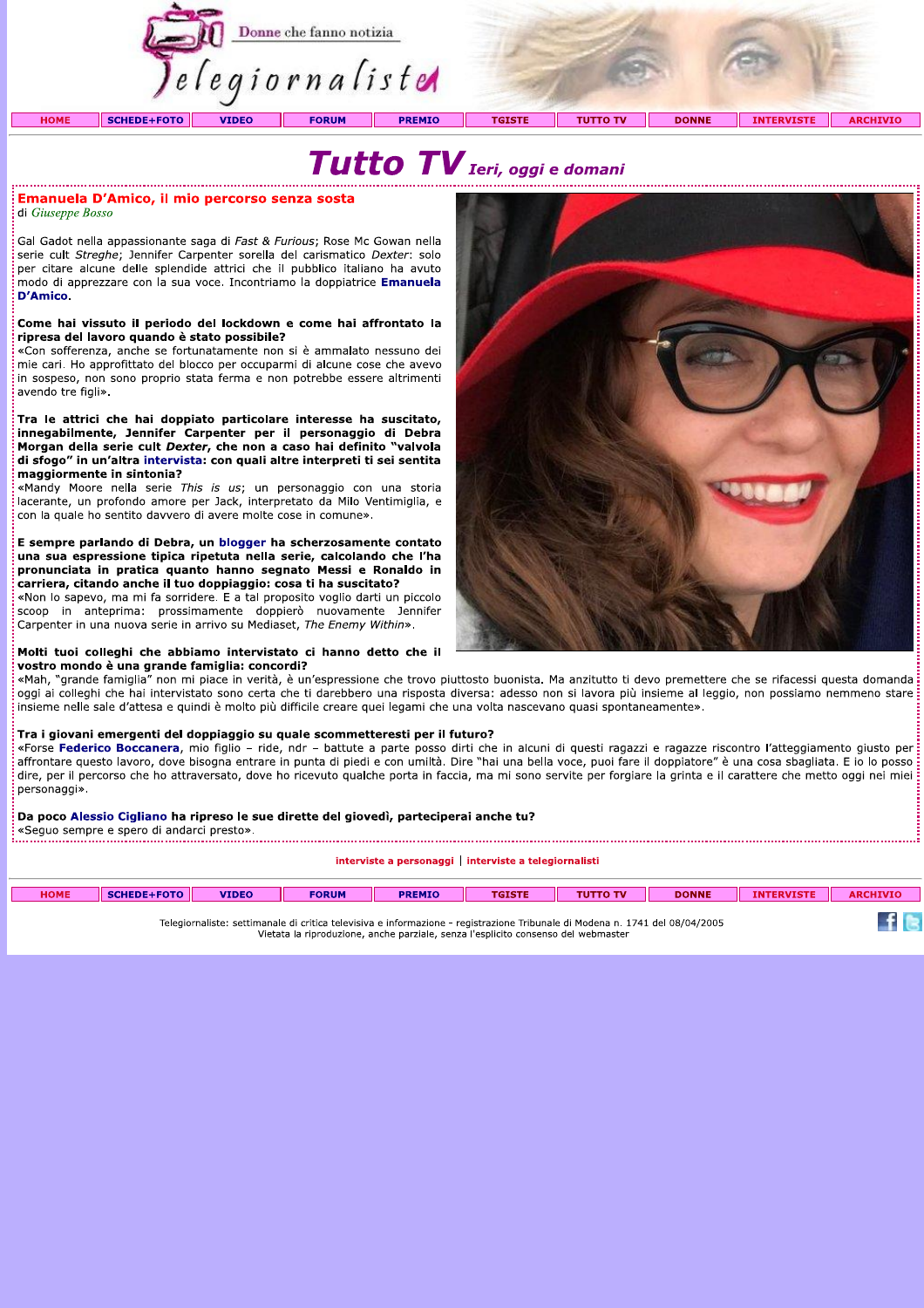

# Tutto TV Ieri, oggi e domani

### :<br>Emanuela D'Amico, il mio percorso senza sosta di Giuseppe Bosso

Gal Gadot nella appassionante saga di Fast & Furious: Rose Mc Gowan nella serie cult Streghe; Jennifer Carpenter sorella del carismatico Dexter: solo per citare alcune delle splendide attrici che il pubblico italiano ha avuto modo di apprezzare con la sua voce. Incontriamo la doppiatrice Emanuela **D'Amico** 

### Come hai vissuto il periodo del lockdown e come hai affrontato la ripresa del lavoro quando è stato possibile?

«Con sofferenza, anche se fortunatamente non si è ammalato nessuno dei mie cari. Ho approfittato del blocco per occuparmi di alcune cose che avevo in sospeso, non sono proprio stata ferma e non potrebbe essere altrimenti avendo tre figli».

Tra le attrici che hai doppiato particolare interesse ha suscitato, innegabilmente, Jennifer Carpenter per il personaggio di Debra Morgan della serie cult Dexter, che non a caso hai definito "valvola di sfogo" in un'altra intervista: con quali altre interpreti ti sei sentita maggiormente in sintonia?

«Mandy Moore nella serie This is us; un personaggio con una storia lacerante, un profondo amore per Jack, interpretato da Milo Ventimiglia, e con la quale ho sentito davvero di avere molte cose in comune».

E sempre parlando di Debra, un blogger ha scherzosamente contato una sua espressione tipica ripetuta nella serie, calcolando che l'ha pronunciata in pratica quanto hanno segnato Messi e Ronaldo in .<br>carriera, citando anche il tuo doppiaggio: cosa ti ha suscitato?

«Non lo sapevo, ma mi fa sorridere. E a tal proposito voglio darti un piccolo scoop in anteprima: prossimamente doppierò nuovamente Jennifer Carpenter in una nuova serie in arrivo su Mediaset, The Enemy Within».

### Molti tuoi colleghi che abbiamo intervistato ci hanno detto che il vostro mondo è una grande famiglia: concordi?

«Mah, "grande famiglia" non mi piace in verità, è un'espressione che trovo piuttosto buonista. Ma anzitutto ti devo premettere che se rifacessi questa domanda oggi ai colleghi che hai intervistato sono certa che ti darebbero una risposta diversa: adesso non si lavora più insieme al leggio, non possiamo nemmeno stare insieme nelle sale d'attesa e quindi è molto più difficile creare quei legami che una volta nascevano quasi spontaneamente».

**Tra i giovani emergenti del doppiaggio su quale scommetteresti per il futuro?**<br>«Forse **Federico Boccanera**, mio figlio – ride, ndr – battute a parte posso dirti che in alcuni di questi ragazzi e ragazze riscontro l'attegg affrontare questo lavoro, dove bisogna entrare in punta di piedi e con umiltà. Dire "hai una bella voce, puoi fare il doppiatore" è una cosa sbagliata. E io lo posso dire, per il percorso che ho attraversato, dove ho ricevuto qualche porta in faccia, ma mi sono servite per forgiare la grinta e il carattere che metto oggi nei miei personaggi».

### Da poco Alessio Cigliano ha ripreso le sue dirette del giovedì, parteciperai anche tu?

interviste a personaggi | interviste a telegiornalisti

| <b>HOME</b>                                                                                                                                                                                                       | SCHEDE+FOTO | <b>VIDEO</b> | <b>FORUM</b> | <b>PREMIO</b> | <b>TGISTE</b> | <b>TUTTO TV</b> | <b>DONNE</b> | <b>INTERVISTE</b> | <b>ARCHIVIO</b> |
|-------------------------------------------------------------------------------------------------------------------------------------------------------------------------------------------------------------------|-------------|--------------|--------------|---------------|---------------|-----------------|--------------|-------------------|-----------------|
| Telegiornaliste: settimanale di critica televisiva e informazione - registrazione Tribunale di Modena n. 1741 del 08/04/2005<br>Vietata la riproduzione, anche parziale, senza l'esplicito consenso del webmaster |             |              |              |               |               |                 |              |                   |                 |